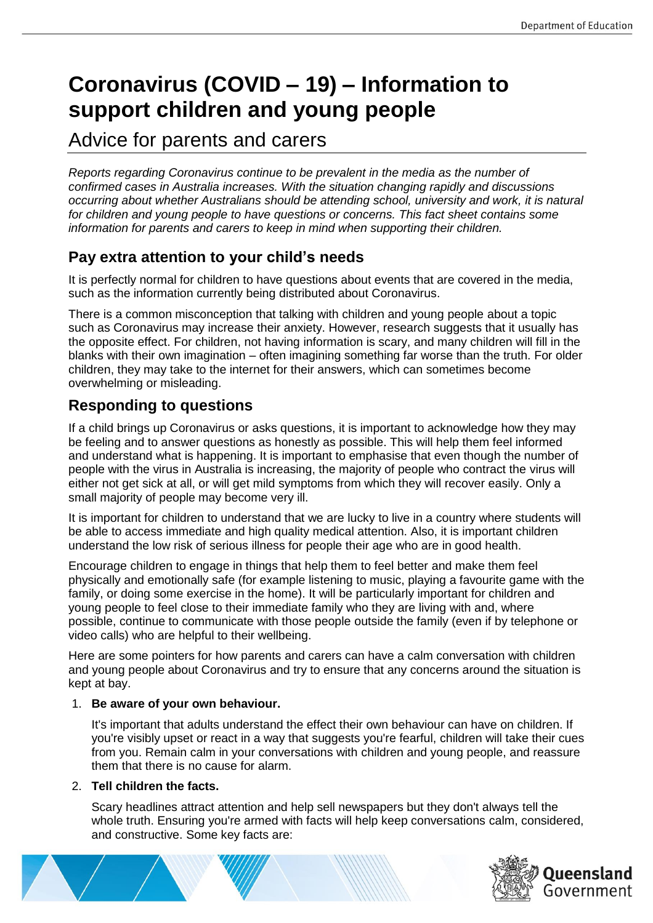# **Coronavirus (COVID – 19) – Information to support children and young people**

Advice for parents and carers

*Reports regarding Coronavirus continue to be prevalent in the media as the number of confirmed cases in Australia increases. With the situation changing rapidly and discussions occurring about whether Australians should be attending school, university and work, it is natural for children and young people to have questions or concerns. This fact sheet contains some information for parents and carers to keep in mind when supporting their children.*

# **Pay extra attention to your child's needs**

It is perfectly normal for children to have questions about events that are covered in the media, such as the information currently being distributed about Coronavirus.

There is a common misconception that talking with children and young people about a topic such as Coronavirus may increase their anxiety. However, research suggests that it usually has the opposite effect. For children, not having information is scary, and many children will fill in the blanks with their own imagination – often imagining something far worse than the truth. For older children, they may take to the internet for their answers, which can sometimes become overwhelming or misleading.

# **Responding to questions**

If a child brings up Coronavirus or asks questions, it is important to acknowledge how they may be feeling and to answer questions as honestly as possible. This will help them feel informed and understand what is happening. It is important to emphasise that even though the number of people with the virus in Australia is increasing, the majority of people who contract the virus will either not get sick at all, or will get mild symptoms from which they will recover easily. Only a small majority of people may become very ill.

It is important for children to understand that we are lucky to live in a country where students will be able to access immediate and high quality medical attention. Also, it is important children understand the low risk of serious illness for people their age who are in good health.

Encourage children to engage in things that help them to feel better and make them feel physically and emotionally safe (for example listening to music, playing a favourite game with the family, or doing some exercise in the home). It will be particularly important for children and young people to feel close to their immediate family who they are living with and, where possible, continue to communicate with those people outside the family (even if by telephone or video calls) who are helpful to their wellbeing.

Here are some pointers for how parents and carers can have a calm conversation with children and young people about Coronavirus and try to ensure that any concerns around the situation is kept at bay.

### 1. **Be aware of your own behaviour.**

It's important that adults understand the effect their own behaviour can have on children. If you're visibly upset or react in a way that suggests you're fearful, children will take their cues from you. Remain calm in your conversations with children and young people, and reassure them that there is no cause for alarm.

### 2. **Tell children the facts.**

Scary headlines attract attention and help sell newspapers but they don't always tell the whole truth. Ensuring you're armed with facts will help keep conversations calm, considered, and constructive. Some key facts are:



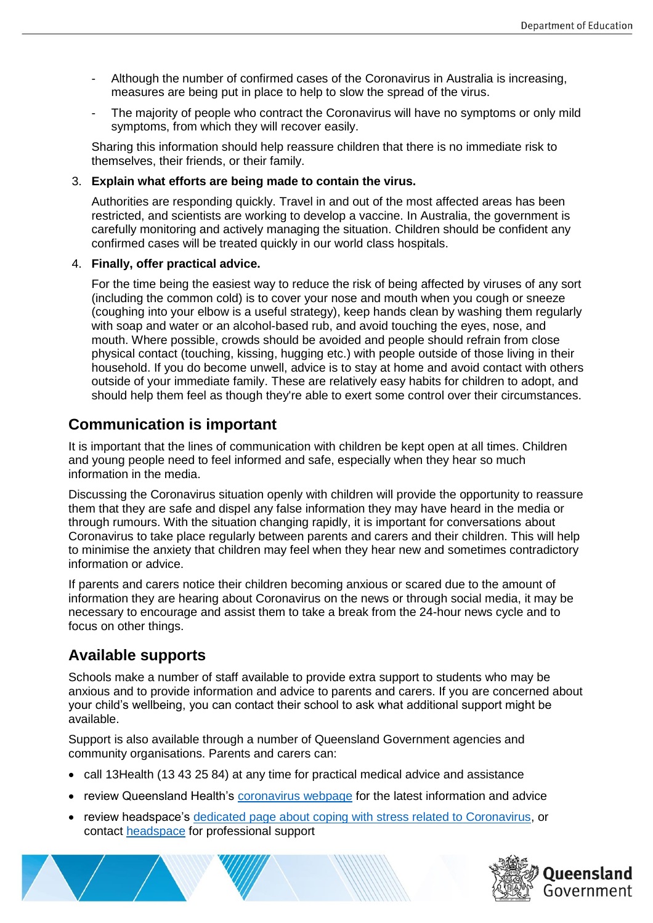- Although the number of confirmed cases of the Coronavirus in Australia is increasing, measures are being put in place to help to slow the spread of the virus.
- The majority of people who contract the Coronavirus will have no symptoms or only mild symptoms, from which they will recover easily.

Sharing this information should help reassure children that there is no immediate risk to themselves, their friends, or their family.

#### 3. **Explain what efforts are being made to contain the virus.**

Authorities are responding quickly. Travel in and out of the most affected areas has been restricted, and scientists are working to develop a vaccine. In Australia, the government is carefully monitoring and actively managing the situation. Children should be confident any confirmed cases will be treated quickly in our world class hospitals.

#### 4. **Finally, offer practical advice.**

For the time being the easiest way to reduce the risk of being affected by viruses of any sort (including the common cold) is to cover your nose and mouth when you cough or sneeze (coughing into your elbow is a useful strategy), keep hands clean by washing them regularly with soap and water or an alcohol-based rub, and avoid touching the eyes, nose, and mouth. Where possible, crowds should be avoided and people should refrain from close physical contact (touching, kissing, hugging etc.) with people outside of those living in their household. If you do become unwell, advice is to stay at home and avoid contact with others outside of your immediate family. These are relatively easy habits for children to adopt, and should help them feel as though they're able to exert some control over their circumstances.

## **Communication is important**

It is important that the lines of communication with children be kept open at all times. Children and young people need to feel informed and safe, especially when they hear so much information in the media.

Discussing the Coronavirus situation openly with children will provide the opportunity to reassure them that they are safe and dispel any false information they may have heard in the media or through rumours. With the situation changing rapidly, it is important for conversations about Coronavirus to take place regularly between parents and carers and their children. This will help to minimise the anxiety that children may feel when they hear new and sometimes contradictory information or advice.

If parents and carers notice their children becoming anxious or scared due to the amount of information they are hearing about Coronavirus on the news or through social media, it may be necessary to encourage and assist them to take a break from the 24-hour news cycle and to focus on other things.

### **Available supports**

Schools make a number of staff available to provide extra support to students who may be anxious and to provide information and advice to parents and carers. If you are concerned about your child's wellbeing, you can contact their school to ask what additional support might be available.

Support is also available through a number of Queensland Government agencies and community organisations. Parents and carers can:

- call 13Health (13 43 25 84) at any time for practical medical advice and assistance
- review Queensland Health's [coronavirus webpage](https://www.qld.gov.au/health/conditions/health-alerts/coronavirus-covid-19) for the latest information and advice
- review headspace's [dedicated page about coping with stress related to Coronavirus,](https://headspace.org.au/young-people/how-to-cope-with-stress-related-to-covid-19/) or contact [headspace](https://headspace.org.au/headspace-centres/) for professional support